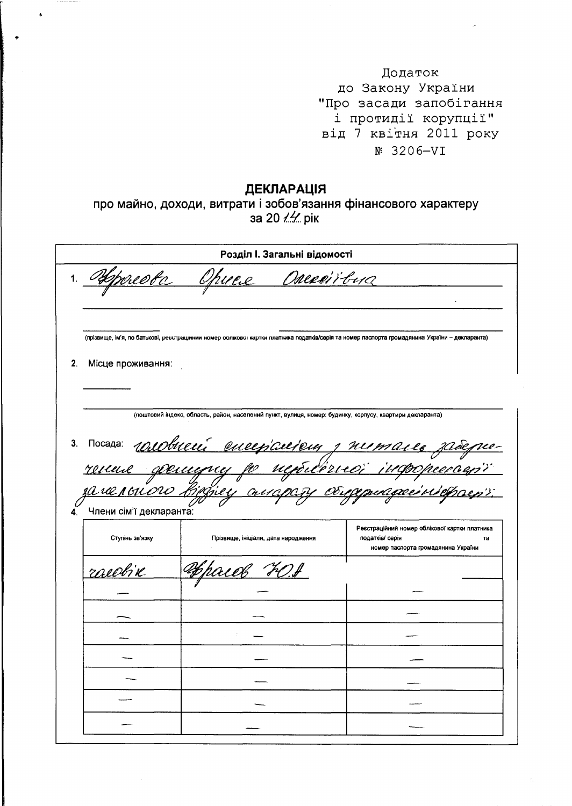Додаток до Закону України "Про засади запобігання і протидії корупції" від 7 квітня 2011 року  $N^9$  3206-VI

## ДЕКЛАРАЦІЯ

про майно, доходи, витрати і зобов'язання фінансового характеру за 20 14 рік

|    | Розділ I. Загальні відомості                      |                                                                                                                                              |                                                                                                              |  |  |
|----|---------------------------------------------------|----------------------------------------------------------------------------------------------------------------------------------------------|--------------------------------------------------------------------------------------------------------------|--|--|
| 1. | Ofpred to                                         | <u>Opuere</u><br>Onexeirous                                                                                                                  |                                                                                                              |  |  |
|    |                                                   | (прізвище, ім'я, по батькові, реєстрацинии номер оолжової картки платника податків/серія та номер паспорта громадянина України – декларанта) |                                                                                                              |  |  |
| 2. | Місце проживання:                                 |                                                                                                                                              |                                                                                                              |  |  |
|    |                                                   | (поштовий індекс, область, район, населений пункт, вулиця, номер: будинку, корпусу, квартири декларанта)                                     |                                                                                                              |  |  |
| 3. |                                                   | nocana <u>rosobnecí eneeplacieny primaire zadepier</u>                                                                                       |                                                                                                              |  |  |
|    | <u>за чельного 18,</u><br>Члени сім'ї декларанта: | Fill and                                                                                                                                     | <u>uagaeirie</u>                                                                                             |  |  |
|    | Ступінь зв'язку                                   | Прізвище, ініціали, дата народження                                                                                                          | Реєстраційний номер облікової картки платника<br>податків/ серія<br>та<br>номер паспорта громадянина України |  |  |
|    | rosellik                                          | 'FOJ<br>riek                                                                                                                                 |                                                                                                              |  |  |
|    |                                                   |                                                                                                                                              |                                                                                                              |  |  |
|    |                                                   |                                                                                                                                              |                                                                                                              |  |  |
|    |                                                   |                                                                                                                                              |                                                                                                              |  |  |
|    |                                                   |                                                                                                                                              |                                                                                                              |  |  |
|    |                                                   |                                                                                                                                              |                                                                                                              |  |  |
|    |                                                   |                                                                                                                                              |                                                                                                              |  |  |
|    |                                                   |                                                                                                                                              |                                                                                                              |  |  |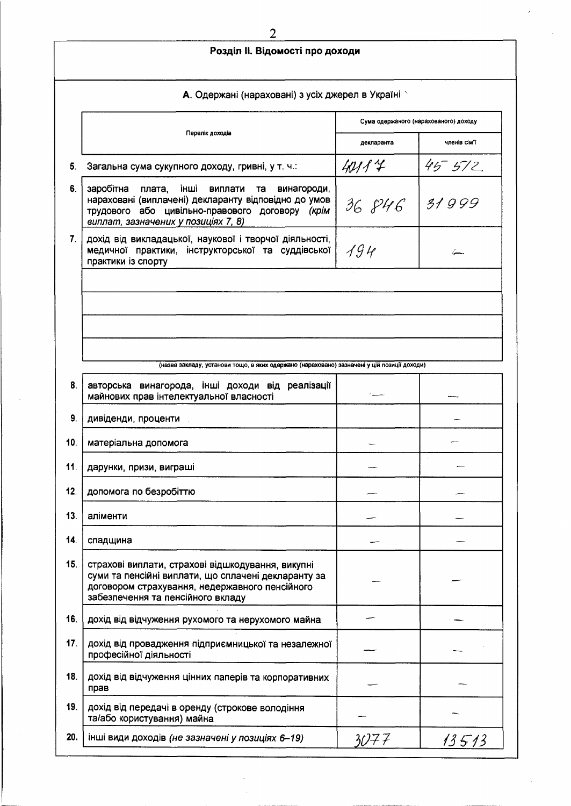|     | Розділ II. Відомості про доходи                                                                                                                                                                            |            |                                       |  |  |
|-----|------------------------------------------------------------------------------------------------------------------------------------------------------------------------------------------------------------|------------|---------------------------------------|--|--|
|     | А. Одержані (нараховані) з усіх джерел в Україні х                                                                                                                                                         |            |                                       |  |  |
|     |                                                                                                                                                                                                            |            | Сума одержаного (нарахованого) доходу |  |  |
|     | Перелік доходів                                                                                                                                                                                            | декларанта | членів сім'ї                          |  |  |
| 5.  | Загальна сума сукупного доходу, гривні, у т. ч.:                                                                                                                                                           | 40114      | $45 - 572$                            |  |  |
| 6.  | заробітна плата,<br>інші<br>виплати<br>винагороди,<br>та<br>нараховані (виплачені) декларанту відповідно до умов<br>трудового або цивільно-правового договору (крім<br>виплат, зазначених у позиціях 7, 8) | 36 846     | 31999                                 |  |  |
| 7.  | дохід від викладацької, наукової і творчої діяльності,<br>медичної практики, інструкторської та суддівської<br>практики із спорту                                                                          | 194        |                                       |  |  |
|     |                                                                                                                                                                                                            |            |                                       |  |  |
|     |                                                                                                                                                                                                            |            |                                       |  |  |
|     | (назва закладу, установи тощо, в яких одержано (нараховано) зазначені у цій позиції доходи)                                                                                                                |            |                                       |  |  |
| 8.  | авторська винагорода, інші доходи від реалізації<br>майнових прав інтелектуальної власності                                                                                                                |            |                                       |  |  |
| 9.  | дивіденди, проценти                                                                                                                                                                                        |            |                                       |  |  |
| 10. | матеріальна допомога                                                                                                                                                                                       |            |                                       |  |  |
| 11. | дарунки, призи, виграші                                                                                                                                                                                    |            |                                       |  |  |
| 12. | допомога по безробіттю                                                                                                                                                                                     |            |                                       |  |  |
| 13. | аліменти                                                                                                                                                                                                   |            |                                       |  |  |
| 14. | спадщина                                                                                                                                                                                                   |            |                                       |  |  |
| 15. | страхові виплати, страхові відшкодування, викупні<br>суми та пенсійні виплати, що сплачені декларанту за<br>договором страхування, недержавного пенсійного<br>забезпечення та пенсійного вкладу            |            |                                       |  |  |
| 16. | дохід від відчуження рухомого та нерухомого майна                                                                                                                                                          |            |                                       |  |  |
| 17. | дохід від провадження підприємницької та незалежної<br>професійної діяльності                                                                                                                              |            |                                       |  |  |
| 18. | дохід від відчуження цінних паперів та корпоративних<br>прав                                                                                                                                               |            |                                       |  |  |
| 19. | дохід від передачі в оренду (строкове володіння<br>та/або користування) майна                                                                                                                              |            |                                       |  |  |
| 20. | інші види доходів (не зазначені у позиціях 6-19)                                                                                                                                                           | 3077       | 13513                                 |  |  |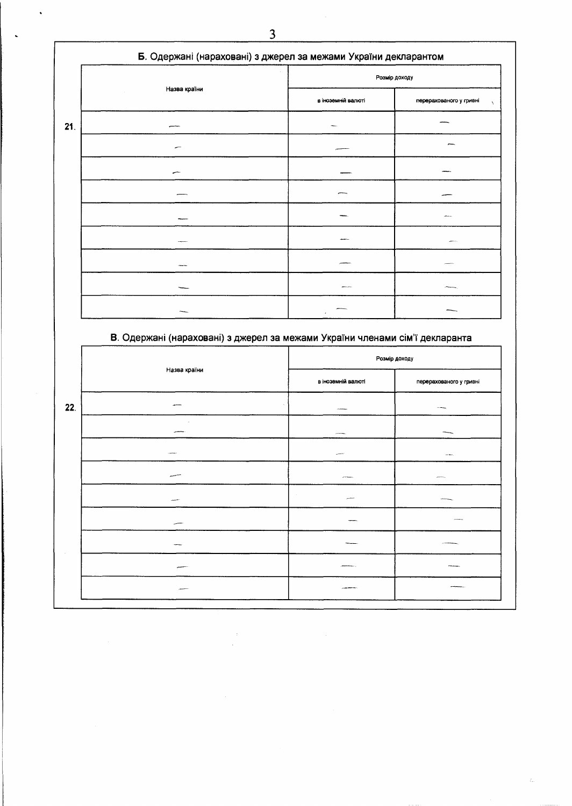|     |              | Розмір доходу      |                                      |
|-----|--------------|--------------------|--------------------------------------|
|     | Назва країни | в іноземній валюті | перерахованого у гривні<br>$\lambda$ |
| 21. |              |                    |                                      |
|     |              |                    |                                      |
|     |              |                    |                                      |
|     |              |                    |                                      |
|     |              |                    |                                      |
|     |              |                    |                                      |
|     |              |                    |                                      |
|     |              |                    |                                      |
|     |              |                    |                                      |

## В. Одержані (нараховані) з джерел за межами України членами сім'ї декларанта

|     |              | Розмір доходу       |                         |
|-----|--------------|---------------------|-------------------------|
|     | Назва країни | в іноземній валюті  | перерахованого у гривні |
| 22. |              | <b>STATISTICS</b>   | <b>STANDARD</b>         |
|     |              | $\mu$ -th matrices. |                         |
|     |              |                     | and Marie.              |
|     |              | <b>APPROXIMA</b>    | province.               |
|     |              | <b>SALESMAN</b>     |                         |
|     |              |                     | $\cdots$                |
|     |              |                     |                         |
|     |              |                     |                         |
|     |              | المحاجمات ويعددن    |                         |
|     |              |                     |                         |

 $\ddot{\phantom{0}}$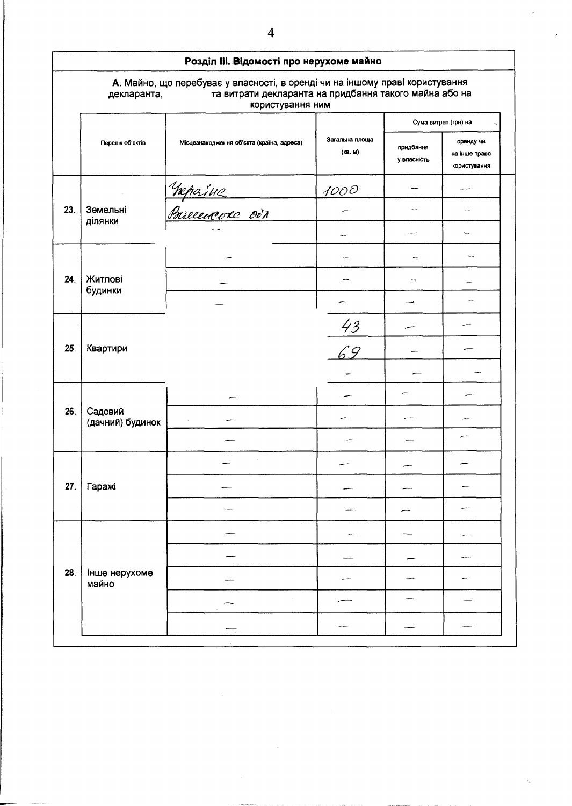|     | Розділ III. Відомості про нерухоме майно |                                                                                                                                                            |                           |                          |                                            |
|-----|------------------------------------------|------------------------------------------------------------------------------------------------------------------------------------------------------------|---------------------------|--------------------------|--------------------------------------------|
|     | декларанта,                              | А. Майно, що перебуває у власності, в оренді чи на іншому праві користування<br>та витрати декларанта на придбання такого майна або на<br>користування ним |                           |                          |                                            |
|     |                                          |                                                                                                                                                            |                           |                          | Сума витрат (грн) на                       |
|     | Перелік об'єктів                         | Місцезнаходження об'єкта (країна, адреса)                                                                                                                  | Загальна площа<br>(KB. M) | придбання<br>у власність | оренду чи<br>на інше право<br>користування |
|     |                                          |                                                                                                                                                            | 1000                      |                          | والمواديين                                 |
| 23. | Земельні<br>Ділянки                      | <u> Væpaine</u><br>Pareenevke ovr                                                                                                                          |                           | u.                       | $\omega_{\rm{max}}$                        |
|     |                                          |                                                                                                                                                            |                           | المعام                   | ÷.                                         |
|     |                                          |                                                                                                                                                            |                           | -7                       | ∽,                                         |
| 24. | Житлові                                  |                                                                                                                                                            |                           | <b>Concert</b>           |                                            |
|     | будинки                                  |                                                                                                                                                            |                           | د                        |                                            |
|     |                                          |                                                                                                                                                            |                           |                          |                                            |
| 25. | Квартири                                 |                                                                                                                                                            | $\frac{43}{69}$           |                          |                                            |
|     |                                          |                                                                                                                                                            |                           |                          |                                            |
|     |                                          |                                                                                                                                                            |                           |                          |                                            |
| 26. | Садовий<br>(дачний) будинок              |                                                                                                                                                            |                           |                          |                                            |
|     |                                          |                                                                                                                                                            |                           |                          |                                            |
|     |                                          |                                                                                                                                                            |                           |                          |                                            |
| 27. | Гаражі                                   |                                                                                                                                                            |                           |                          |                                            |
|     |                                          |                                                                                                                                                            |                           |                          |                                            |
|     |                                          |                                                                                                                                                            |                           |                          |                                            |
|     |                                          |                                                                                                                                                            |                           |                          |                                            |
| 28. | Інше нерухоме<br>майно                   |                                                                                                                                                            |                           |                          |                                            |
|     |                                          |                                                                                                                                                            |                           |                          |                                            |
|     |                                          |                                                                                                                                                            |                           |                          |                                            |
|     |                                          |                                                                                                                                                            |                           |                          |                                            |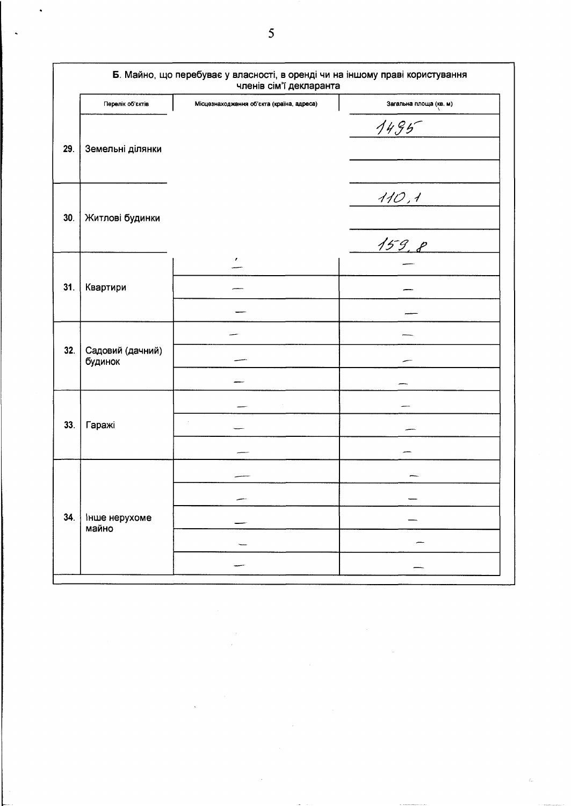| Перелік об'єктів<br>Земельні ділянки<br>Житлові будинки | Місцезнаходження об'єкта (країна, адреса)<br>$\mathbf{r}$ | Загальна площа (кв. м)<br>$1495 -$<br>110,1<br>159,8 |
|---------------------------------------------------------|-----------------------------------------------------------|------------------------------------------------------|
|                                                         |                                                           |                                                      |
|                                                         |                                                           |                                                      |
|                                                         |                                                           |                                                      |
| Квартири                                                |                                                           |                                                      |
| Садовий (дачний)<br>будинок                             |                                                           |                                                      |
| Гаражі                                                  |                                                           |                                                      |
| Інше нерухоме<br>майно                                  |                                                           |                                                      |
|                                                         |                                                           |                                                      |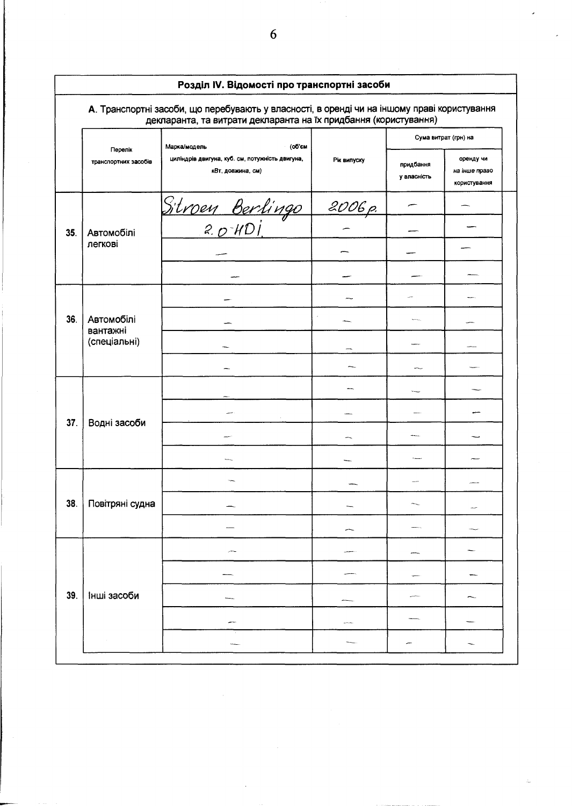|     |                                 | Розділ IV. Відомості про транспортні засоби<br>А. Транспортні засоби, що перебувають у власності, в оренді чи на іншому праві користування<br>декларанта, та витрати декларанта на їх придбання (користування) |             |                          |                                            |  |
|-----|---------------------------------|----------------------------------------------------------------------------------------------------------------------------------------------------------------------------------------------------------------|-------------|--------------------------|--------------------------------------------|--|
|     |                                 | (об'єм<br>Марка/модель                                                                                                                                                                                         |             |                          | Сума витрат (грн) на                       |  |
|     | Перелік<br>транспортних засобів | циліндрів двигуна, куб. см, потужність двигуна,<br>кВт, довжина, см)                                                                                                                                           | Рік випуску | придбання<br>у власність | оренду чи<br>на інше право<br>користування |  |
|     |                                 |                                                                                                                                                                                                                | 2006 p.     |                          |                                            |  |
| 35. | Автомобілі                      | <u>Sitroen Berlingo</u><br>2. o <sup>-</sup> HDI.                                                                                                                                                              |             |                          |                                            |  |
|     | легкові                         |                                                                                                                                                                                                                |             |                          |                                            |  |
|     |                                 |                                                                                                                                                                                                                |             |                          |                                            |  |
|     |                                 |                                                                                                                                                                                                                |             |                          |                                            |  |
| 36. | Автомобілі<br>вантажні          |                                                                                                                                                                                                                |             |                          |                                            |  |
|     | (спеціальні)                    |                                                                                                                                                                                                                |             |                          |                                            |  |
|     |                                 |                                                                                                                                                                                                                |             |                          |                                            |  |
|     |                                 |                                                                                                                                                                                                                |             |                          |                                            |  |
| 37. | Водні засоби                    |                                                                                                                                                                                                                |             |                          |                                            |  |
|     |                                 |                                                                                                                                                                                                                |             |                          |                                            |  |
|     |                                 |                                                                                                                                                                                                                |             |                          |                                            |  |
|     |                                 |                                                                                                                                                                                                                |             |                          |                                            |  |
| 38. | Повітряні судна                 |                                                                                                                                                                                                                |             |                          | an an                                      |  |
|     |                                 |                                                                                                                                                                                                                |             |                          |                                            |  |
|     |                                 |                                                                                                                                                                                                                |             |                          |                                            |  |
|     |                                 |                                                                                                                                                                                                                |             |                          |                                            |  |
| 39. | Інші засоби                     |                                                                                                                                                                                                                |             |                          |                                            |  |
|     |                                 |                                                                                                                                                                                                                |             |                          |                                            |  |
|     |                                 |                                                                                                                                                                                                                |             |                          |                                            |  |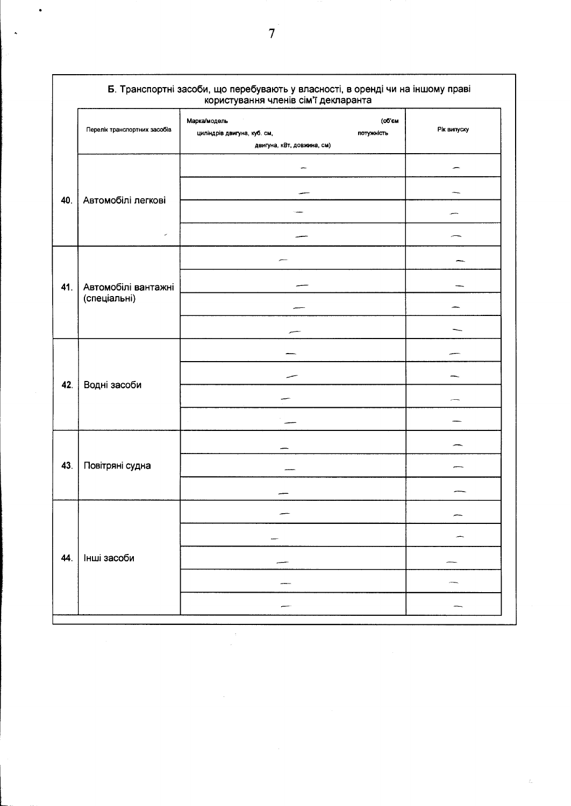|     | Б. Транспортні засоби, що перебувають у власності, в оренді чи на іншому праві<br>користування членів сім'ї декларанта |                                                                                                   |             |  |  |
|-----|------------------------------------------------------------------------------------------------------------------------|---------------------------------------------------------------------------------------------------|-------------|--|--|
|     | Перелік транспортних засобів                                                                                           | (об'єм<br>Марка/модель<br>циліндрів двигуна, куб. см,<br>потужність<br>двигуна, кВт, довжина, см) | Рік випуску |  |  |
|     |                                                                                                                        |                                                                                                   |             |  |  |
| 40. | Автомобілі легкові                                                                                                     |                                                                                                   |             |  |  |
|     |                                                                                                                        |                                                                                                   |             |  |  |
|     | ×                                                                                                                      |                                                                                                   |             |  |  |
|     |                                                                                                                        |                                                                                                   |             |  |  |
| 41. | Автомобілі вантажні<br>(спеціальні)                                                                                    |                                                                                                   |             |  |  |
|     |                                                                                                                        |                                                                                                   |             |  |  |
|     |                                                                                                                        |                                                                                                   |             |  |  |
| 42. | Водні засоби                                                                                                           |                                                                                                   |             |  |  |
|     |                                                                                                                        |                                                                                                   |             |  |  |
|     |                                                                                                                        |                                                                                                   |             |  |  |
|     |                                                                                                                        |                                                                                                   |             |  |  |
| 43. | Повітряні судна                                                                                                        |                                                                                                   |             |  |  |
|     |                                                                                                                        |                                                                                                   |             |  |  |
|     |                                                                                                                        |                                                                                                   |             |  |  |
|     |                                                                                                                        |                                                                                                   |             |  |  |
| 44. | Інші засоби                                                                                                            |                                                                                                   |             |  |  |
|     |                                                                                                                        |                                                                                                   |             |  |  |
|     |                                                                                                                        |                                                                                                   |             |  |  |

 $\hat{\tau}$  $\hat{\boldsymbol{\epsilon}}$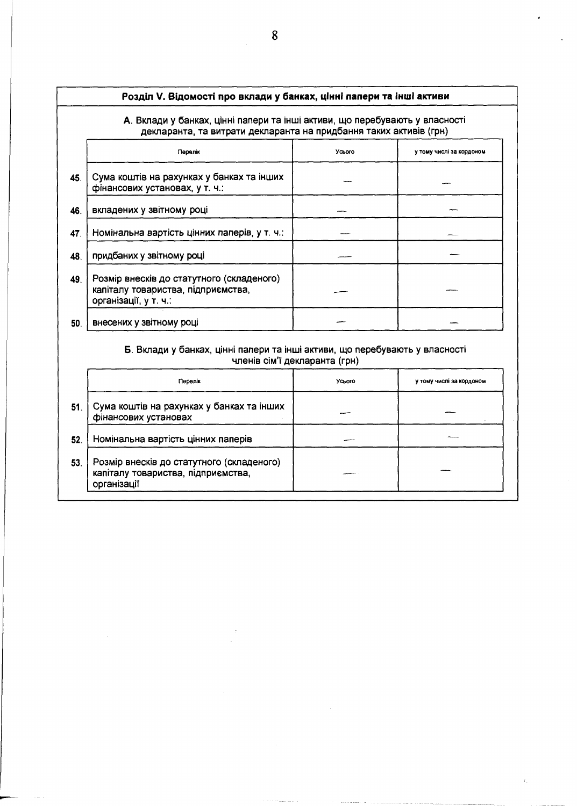### Розділ V. Відомості про вклади у банках, цінні папери та інші активи

#### А. Вклади у банках, цінні папери та інші активи, що перебувають у власності декларанта, та витрати декларанта на придбання таких активів (грн)

|     | Перелік                                                                                                  | Усього | у тому числі за кордоном |
|-----|----------------------------------------------------------------------------------------------------------|--------|--------------------------|
| 45. | Сума коштів на рахунках у банках та інших<br>фінансових установах, у т. ч.:                              |        |                          |
| 46. | вкладених у звітному році                                                                                |        |                          |
| 47. | Номінальна вартість цінних паперів, у т. ч.:                                                             |        |                          |
| 48. | придбаних у звітному році                                                                                |        |                          |
| 49. | Розмір внесків до статутного (складеного)<br>капіталу товариства, підприємства,<br>організації, у т. ч.: |        |                          |
| 50. | внесених у звітному році                                                                                 |        |                          |

#### Б. Вклади у банках, цінні палери та інші активи, що перебувають у власності членів сім'ї декларанта (грн)

|     | Перелік                                                                                        | Усього | у тому числі за кордоном |
|-----|------------------------------------------------------------------------------------------------|--------|--------------------------|
| 51. | Сума коштів на рахунках у банках та інших<br>фінансових установах                              |        |                          |
| 52. | Номінальна вартість цінних паперів                                                             |        |                          |
| 53. | Розмір внесків до статутного (складеного)<br>капіталу товариства, підприємства,<br>організації |        |                          |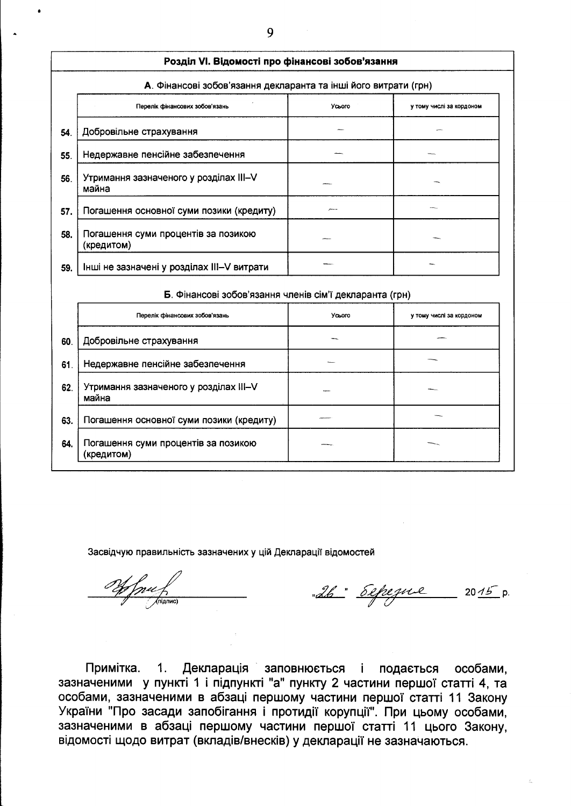|     | Розділ VI. Відомості про фінансові зобов'язання                 |        |                          |  |  |  |
|-----|-----------------------------------------------------------------|--------|--------------------------|--|--|--|
|     | А. Фінансові зобов'язання декларанта та інші його витрати (грн) |        |                          |  |  |  |
|     | Перелік фінансових зобов'язань                                  | Усього | у тому числі за кордоном |  |  |  |
| 54. | Добровільне страхування                                         |        |                          |  |  |  |
| 55. | Недержавне пенсійне забезпечення                                |        |                          |  |  |  |
| 56. | Утримання зазначеного у розділах III-V<br>майна                 |        |                          |  |  |  |
| 57. | Погашення основної суми позики (кредиту)                        |        |                          |  |  |  |
| 58. | Погашення суми процентів за позикою<br>(кредитом)               |        |                          |  |  |  |
| 59. | Інші не зазначені у розділах III-V витрати                      |        |                          |  |  |  |

# Б. Фінансові зобов'язання членів сім'ї декларанта (грн)

|     | Перелік фінансових зобов'язань                    | Усього | у тому числі за кордоном |
|-----|---------------------------------------------------|--------|--------------------------|
| 60. | Добровільне страхування                           |        |                          |
| 61. | Недержавне пенсійне забезпечення                  |        |                          |
| 62. | Утримання зазначеного у розділах III-V<br>майна   |        |                          |
| 63. | Погашення основної суми позики (кредиту)          |        |                          |
| 64. | Погашення суми процентів за позикою<br>(кредитом) |        |                          |

Засвідчую правильність зазначених у цій Декларації відомостей

- als depeque 2015 p. Off free of

Примітка. 1. Декларація заповнюється і подається особами. зазначеними у пункті 1 і підпункті "а" пункту 2 частини першої статті 4, та особами, зазначеними в абзаці першому частини першої статті 11 Закону України "Про засади запобігання і протидії корупції". При цьому особами, зазначеними в абзаці першому частини першої статті 11 цього Закону, відомості щодо витрат (вкладів/внесків) у декларації не зазначаються.